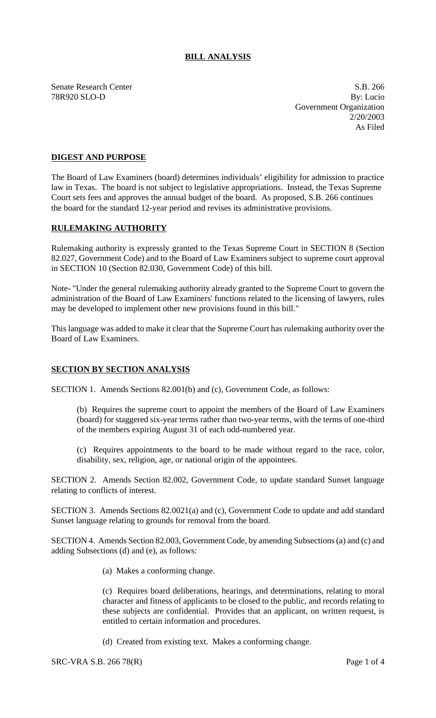## **BILL ANALYSIS**

Senate Research Center S.B. 266

78R920 SLO-D By: Lucio Government Organization 2/20/2003 As Filed

## **DIGEST AND PURPOSE**

The Board of Law Examiners (board) determines individuals' eligibility for admission to practice law in Texas. The board is not subject to legislative appropriations. Instead, the Texas Supreme Court sets fees and approves the annual budget of the board. As proposed, S.B. 266 continues the board for the standard 12-year period and revises its administrative provisions.

## **RULEMAKING AUTHORITY**

Rulemaking authority is expressly granted to the Texas Supreme Court in SECTION 8 (Section 82.027, Government Code) and to the Board of Law Examiners subject to supreme court approval in SECTION 10 (Section 82.030, Government Code) of this bill.

Note- "Under the general rulemaking authority already granted to the Supreme Court to govern the administration of the Board of Law Examiners' functions related to the licensing of lawyers, rules may be developed to implement other new provisions found in this bill."

This language was added to make it clear that the Supreme Court has rulemaking authority over the Board of Law Examiners.

## **SECTION BY SECTION ANALYSIS**

SECTION 1. Amends Sections 82.001(b) and (c), Government Code, as follows:

(b) Requires the supreme court to appoint the members of the Board of Law Examiners (board) for staggered six-year terms rather than two-year terms, with the terms of one-third of the members expiring August 31 of each odd-numbered year.

(c) Requires appointments to the board to be made without regard to the race, color, disability, sex, religion, age, or national origin of the appointees.

SECTION 2. Amends Section 82.002, Government Code, to update standard Sunset language relating to conflicts of interest.

SECTION 3. Amends Sections 82.0021(a) and (c), Government Code to update and add standard Sunset language relating to grounds for removal from the board.

SECTION 4. Amends Section 82.003, Government Code, by amending Subsections (a) and (c) and adding Subsections (d) and (e), as follows:

(a) Makes a conforming change.

(c) Requires board deliberations, hearings, and determinations, relating to moral character and fitness of applicants to be closed to the public, and records relating to these subjects are confidential. Provides that an applicant, on written request, is entitled to certain information and procedures.

(d) Created from existing text. Makes a conforming change.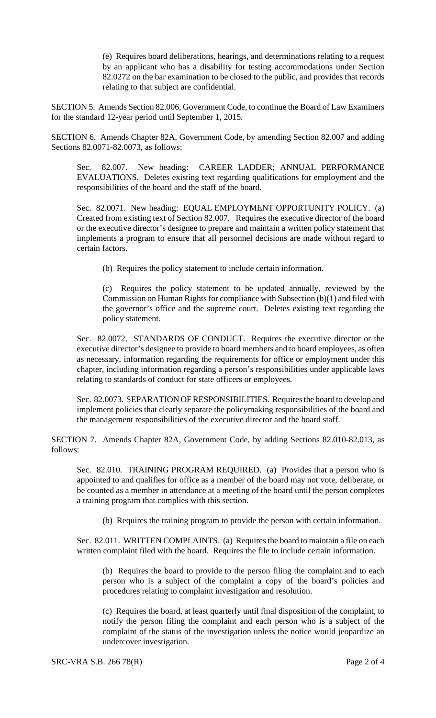(e) Requires board deliberations, hearings, and determinations relating to a request by an applicant who has a disability for testing accommodations under Section 82.0272 on the bar examination to be closed to the public, and provides that records relating to that subject are confidential.

SECTION 5. Amends Section 82.006, Government Code, to continue the Board of Law Examiners for the standard 12-year period until September 1, 2015.

SECTION 6. Amends Chapter 82A, Government Code, by amending Section 82.007 and adding Sections 82.0071-82.0073, as follows:

Sec. 82.007. New heading: CAREER LADDER; ANNUAL PERFORMANCE EVALUATIONS. Deletes existing text regarding qualifications for employment and the responsibilities of the board and the staff of the board.

Sec. 82.0071. New heading: EQUAL EMPLOYMENT OPPORTUNITY POLICY. (a) Created from existing text of Section 82.007. Requires the executive director of the board or the executive director's designee to prepare and maintain a written policy statement that implements a program to ensure that all personnel decisions are made without regard to certain factors.

(b) Requires the policy statement to include certain information.

(c) Requires the policy statement to be updated annually, reviewed by the Commission on Human Rights for compliance with Subsection  $(b)(1)$  and filed with the governor's office and the supreme court. Deletes existing text regarding the policy statement.

Sec. 82.0072. STANDARDS OF CONDUCT. Requires the executive director or the executive director's designee to provide to board members and to board employees, as often as necessary, information regarding the requirements for office or employment under this chapter, including information regarding a person's responsibilities under applicable laws relating to standards of conduct for state officers or employees.

Sec. 82.0073. SEPARATION OF RESPONSIBILITIES. Requires the board to develop and implement policies that clearly separate the policymaking responsibilities of the board and the management responsibilities of the executive director and the board staff.

SECTION 7. Amends Chapter 82A, Government Code, by adding Sections 82.010-82.013, as follows:

Sec. 82.010. TRAINING PROGRAM REQUIRED. (a) Provides that a person who is appointed to and qualifies for office as a member of the board may not vote, deliberate, or be counted as a member in attendance at a meeting of the board until the person completes a training program that complies with this section.

(b) Requires the training program to provide the person with certain information.

Sec. 82.011. WRITTEN COMPLAINTS. (a) Requires the board to maintain a file on each written complaint filed with the board. Requires the file to include certain information.

(b) Requires the board to provide to the person filing the complaint and to each person who is a subject of the complaint a copy of the board's policies and procedures relating to complaint investigation and resolution.

(c) Requires the board, at least quarterly until final disposition of the complaint, to notify the person filing the complaint and each person who is a subject of the complaint of the status of the investigation unless the notice would jeopardize an undercover investigation.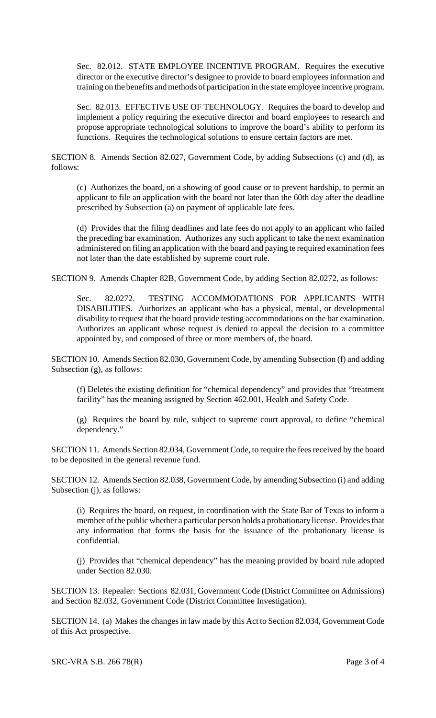Sec. 82.012. STATE EMPLOYEE INCENTIVE PROGRAM. Requires the executive director or the executive director's designee to provide to board employees information and training on the benefits and methods of participation in the state employee incentive program.

Sec. 82.013. EFFECTIVE USE OF TECHNOLOGY. Requires the board to develop and implement a policy requiring the executive director and board employees to research and propose appropriate technological solutions to improve the board's ability to perform its functions. Requires the technological solutions to ensure certain factors are met.

SECTION 8. Amends Section 82.027, Government Code, by adding Subsections (c) and (d), as follows:

(c) Authorizes the board, on a showing of good cause or to prevent hardship, to permit an applicant to file an application with the board not later than the 60th day after the deadline prescribed by Subsection (a) on payment of applicable late fees.

(d) Provides that the filing deadlines and late fees do not apply to an applicant who failed the preceding bar examination. Authorizes any such applicant to take the next examination administered on filing an application with the board and paying te required examination fees not later than the date established by supreme court rule.

SECTION 9. Amends Chapter 82B, Government Code, by adding Section 82.0272, as follows:

Sec. 82.0272. TESTING ACCOMMODATIONS FOR APPLICANTS WITH DISABILITIES. Authorizes an applicant who has a physical, mental, or developmental disability to request that the board provide testing accommodations on the bar examination. Authorizes an applicant whose request is denied to appeal the decision to a committee appointed by, and composed of three or more members of, the board.

SECTION 10. Amends Section 82.030, Government Code, by amending Subsection (f) and adding Subsection (g), as follows:

(f) Deletes the existing definition for "chemical dependency" and provides that "treatment facility" has the meaning assigned by Section 462.001, Health and Safety Code.

(g) Requires the board by rule, subject to supreme court approval, to define "chemical dependency."

SECTION 11. Amends Section 82.034, Government Code, to require the fees received by the board to be deposited in the general revenue fund.

SECTION 12. Amends Section 82.038, Government Code, by amending Subsection (i) and adding Subsection (j), as follows:

(i) Requires the board, on request, in coordination with the State Bar of Texas to inform a member of the public whether a particular person holds a probationary license. Provides that any information that forms the basis for the issuance of the probationary license is confidential.

(j) Provides that "chemical dependency" has the meaning provided by board rule adopted under Section 82.030.

SECTION 13. Repealer: Sections 82.031, Government Code (District Committee on Admissions) and Section 82.032, Government Code (District Committee Investigation).

SECTION 14. (a) Makes the changes in law made by this Act to Section 82.034, Government Code of this Act prospective.